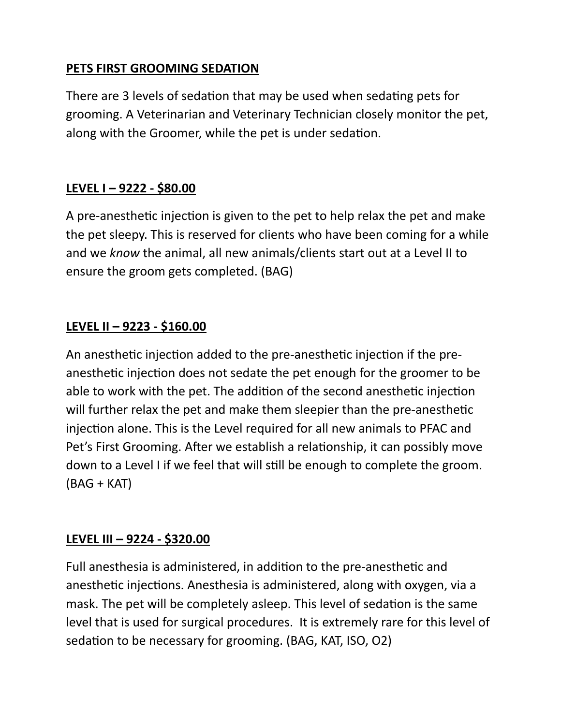# **PETS FIRST GROOMING SEDATION**

There are 3 levels of sedation that may be used when sedating pets for grooming. A Veterinarian and Veterinary Technician closely monitor the pet, along with the Groomer, while the pet is under sedation.

# **LEVEL I – 9222 - \$80.00**

A pre-anesthetic injection is given to the pet to help relax the pet and make the pet sleepy. This is reserved for clients who have been coming for a while and we *know* the animal, all new animals/clients start out at a Level II to ensure the groom gets completed. (BAG)

# **LEVEL II – 9223 - \$160.00**

An anesthetic injection added to the pre-anesthetic injection if the preanesthetic injection does not sedate the pet enough for the groomer to be able to work with the pet. The addition of the second anesthetic injection will further relax the pet and make them sleepier than the pre-anesthetic injection alone. This is the Level required for all new animals to PFAC and Pet's First Grooming. After we establish a relationship, it can possibly move down to a Level I if we feel that will still be enough to complete the groom.  $(BAG + KAT)$ 

#### **LEVEL III – 9224 - \$320.00**

Full anesthesia is administered, in addition to the pre-anesthetic and anesthetic injections. Anesthesia is administered, along with oxygen, via a mask. The pet will be completely asleep. This level of sedation is the same level that is used for surgical procedures. It is extremely rare for this level of sedation to be necessary for grooming. (BAG, KAT, ISO, O2)